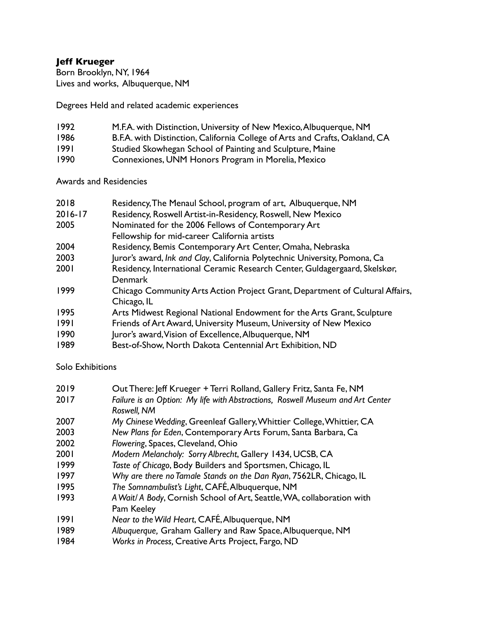## **Jeff Krueger**

Born Brooklyn, NY, 1964 Lives and works, Albuquerque, NM

Degrees Held and related academic experiences

- 1992 M.F.A. with Distinction, University of New Mexico, Albuquerque, NM 1986 B.F.A. with Distinction, California College of Arts and Crafts, Oakland, CA 1991 Studied Skowhegan School of Painting and Sculpture, Maine
- 1990 Connexiones, UNM Honors Program in Morelia, Mexico

Awards and Residencies

| 2018    | Residency, The Menaul School, program of art, Albuquerque, NM                |
|---------|------------------------------------------------------------------------------|
| 2016-17 | Residency, Roswell Artist-in-Residency, Roswell, New Mexico                  |
| 2005    | Nominated for the 2006 Fellows of Contemporary Art                           |
|         | Fellowship for mid-career California artists                                 |
| 2004    | Residency, Bemis Contemporary Art Center, Omaha, Nebraska                    |
| 2003    | Juror's award, Ink and Clay, California Polytechnic University, Pomona, Ca   |
| 2001    | Residency, International Ceramic Research Center, Guldagergaard, Skelskør,   |
|         | <b>Denmark</b>                                                               |
| 1999    | Chicago Community Arts Action Project Grant, Department of Cultural Affairs, |
|         | Chicago, IL                                                                  |
| 1995    | Arts Midwest Regional National Endowment for the Arts Grant, Sculpture       |
| 1991    | Friends of Art Award, University Museum, University of New Mexico            |
| 1990    | Juror's award, Vision of Excellence, Albuquerque, NM                         |
| 1989    | Best-of-Show, North Dakota Centennial Art Exhibition, ND                     |

Solo Exhibitions

| 2019 | Out There: Jeff Krueger + Terri Rolland, Gallery Fritz, Santa Fe, NM                          |
|------|-----------------------------------------------------------------------------------------------|
| 2017 | Failure is an Option: My life with Abstractions, Roswell Museum and Art Center<br>Roswell, NM |
| 2007 | My Chinese Wedding, Greenleaf Gallery, Whittier College, Whittier, CA                         |
| 2003 | New Plans for Eden, Contemporary Arts Forum, Santa Barbara, Ca                                |
| 2002 | Flowering, Spaces, Cleveland, Ohio                                                            |
| 2001 | Modern Melancholy: Sorry Albrecht, Gallery 1434, UCSB, CA                                     |
| 1999 | Taste of Chicago, Body Builders and Sportsmen, Chicago, IL                                    |
| 1997 | Why are there no Tamale Stands on the Dan Ryan, 7562LR, Chicago, IL                           |
| 1995 | The Somnambulist's Light, CAFÉ, Albuquerque, NM                                               |
| 1993 | A Wait/ A Body, Cornish School of Art, Seattle, WA, collaboration with<br>Pam Keeley          |
| 1991 | Near to the Wild Heart, CAFÉ, Albuquerque, NM                                                 |
| 1989 | Albuquerque, Graham Gallery and Raw Space, Albuquerque, NM                                    |
| 1984 | Works in Process, Creative Arts Project, Fargo, ND                                            |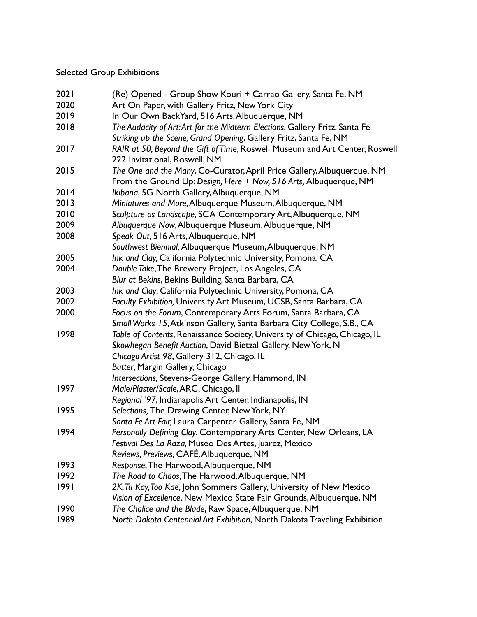## Selected Group Exhibitions

| 2021                                                      | (Re) Opened - Group Show Kouri + Carrao Gallery, Santa Fe, NM                                                                               |  |  |  |
|-----------------------------------------------------------|---------------------------------------------------------------------------------------------------------------------------------------------|--|--|--|
| 2020                                                      | Art On Paper, with Gallery Fritz, New York City                                                                                             |  |  |  |
| 2019                                                      | In Our Own BackYard, 516 Arts, Albuquerque, NM                                                                                              |  |  |  |
| 2018                                                      | The Audacity of Art: Art for the Midterm Elections, Gallery Fritz, Santa Fe                                                                 |  |  |  |
|                                                           | Striking up the Scene; Grand Opening, Gallery Fritz, Santa Fe, NM                                                                           |  |  |  |
| 2017                                                      | RAIR at 50, Beyond the Gift of Time, Roswell Museum and Art Center, Roswell                                                                 |  |  |  |
|                                                           | 222 Invitational, Roswell, NM                                                                                                               |  |  |  |
| 2015                                                      | The One and the Many, Co-Curator, April Price Gallery, Albuquerque, NM<br>From the Ground Up: Design, Here + Now, 516 Arts, Albuquerque, NM |  |  |  |
| 2014                                                      | Ikibana, 5G North Gallery, Albuquerque, NM                                                                                                  |  |  |  |
| 2013                                                      | Miniatures and More, Albuquerque Museum, Albuquerque, NM                                                                                    |  |  |  |
| 2010                                                      | Sculpture as Landscape, SCA Contemporary Art, Albuquerque, NM                                                                               |  |  |  |
| 2009                                                      | Albuquerque Now, Albuquerque Museum, Albuquerque, NM                                                                                        |  |  |  |
| 2008                                                      | Speak Out, 516 Arts, Albuquerque, NM                                                                                                        |  |  |  |
|                                                           | Southwest Biennial, Albuquerque Museum, Albuquerque, NM                                                                                     |  |  |  |
| 2005                                                      | Ink and Clay, California Polytechnic University, Pomona, CA                                                                                 |  |  |  |
| 2004<br>Double Take, The Brewery Project, Los Angeles, CA |                                                                                                                                             |  |  |  |
|                                                           | Blur at Bekins, Bekins Building, Santa Barbara, CA                                                                                          |  |  |  |
| 2003                                                      | Ink and Clay, California Polytechnic University, Pomona, CA                                                                                 |  |  |  |
| 2002                                                      | Faculty Exhibition, University Art Museum, UCSB, Santa Barbara, CA                                                                          |  |  |  |
| 2000                                                      | Focus on the Forum, Contemporary Arts Forum, Santa Barbara, CA                                                                              |  |  |  |
|                                                           | Small Works 15, Atkinson Gallery, Santa Barbara City College, S.B., CA                                                                      |  |  |  |
| 1998                                                      | Table of Contents, Renaissance Society, University of Chicago, Chicago, IL                                                                  |  |  |  |
|                                                           | Skowhegan Benefit Auction, David Bietzal Gallery, New York, N                                                                               |  |  |  |
|                                                           | Chicago Artist 98, Gallery 312, Chicago, IL                                                                                                 |  |  |  |
|                                                           | Butter, Margin Gallery, Chicago                                                                                                             |  |  |  |
|                                                           | Intersections, Stevens-George Gallery, Hammond, IN                                                                                          |  |  |  |
| 1997                                                      | Male/Plaster/Scale, ARC, Chicago, II                                                                                                        |  |  |  |
|                                                           | Regional '97, Indianapolis Art Center, Indianapolis, IN                                                                                     |  |  |  |
| 1995                                                      | Selections, The Drawing Center, New York, NY                                                                                                |  |  |  |
|                                                           | Santa Fe Art Fair, Laura Carpenter Gallery, Santa Fe, NM                                                                                    |  |  |  |
| 1994                                                      | Personally Defining Clay, Contemporary Arts Center, New Orleans, LA                                                                         |  |  |  |
|                                                           | Festival Des La Raza, Museo Des Artes, Juarez, Mexico                                                                                       |  |  |  |
|                                                           | Reviews, Previews, CAFÉ, Albuquerque, NM                                                                                                    |  |  |  |
| 1993                                                      | Response, The Harwood, Albuquerque, NM                                                                                                      |  |  |  |
| 1992                                                      | The Road to Chaos, The Harwood, Albuquerque, NM                                                                                             |  |  |  |
| 1991                                                      | 2K, Tu Kay, Too Kae, John Sommers Gallery, University of New Mexico                                                                         |  |  |  |
|                                                           | Vision of Excellence, New Mexico State Fair Grounds, Albuquerque, NM                                                                        |  |  |  |
| 1990                                                      | The Chalice and the Blade, Raw Space, Albuquerque, NM                                                                                       |  |  |  |
| 1989                                                      | North Dakota Centennial Art Exhibition, North Dakota Traveling Exhibition                                                                   |  |  |  |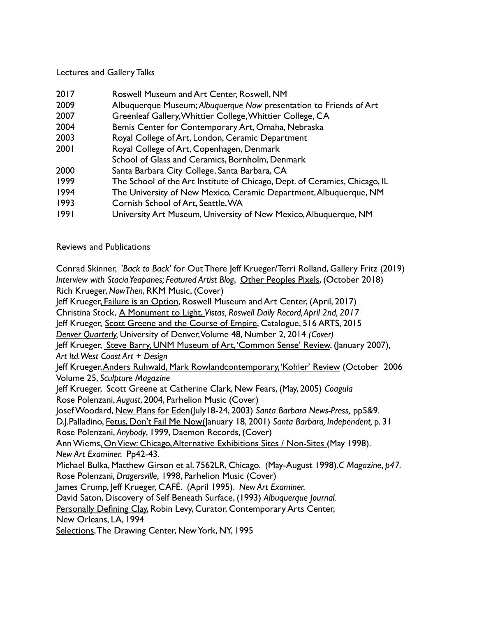## Lectures and Gallery Talks

| 2017 | Roswell Museum and Art Center, Roswell, NM |  |  |
|------|--------------------------------------------|--|--|
|------|--------------------------------------------|--|--|

- 2009 Albuquerque Museum; *Albuquerque Now* presentation to Friends of Art
- 2007 Greenleaf Gallery, Whittier College, Whittier College, CA
- 2004 Bemis Center for Contemporary Art, Omaha, Nebraska
- 2003 Royal College of Art, London, Ceramic Department
- 2001 Royal College of Art, Copenhagen, Denmark
- School of Glass and Ceramics, Bornholm, Denmark
- 2000 Santa Barbara City College, Santa Barbara, CA
- 1999 The School of the Art Institute of Chicago, Dept. of Ceramics, Chicago, IL
- 1994 The University of New Mexico, Ceramic Department, Albuquerque, NM
- 1993 Cornish School of Art, Seattle, WA
- 1991 University Art Museum, University of New Mexico, Albuquerque, NM

Reviews and Publications

Conrad Skinner, '*Back to Back'* for Out There Jeff Krueger/Terri Rolland, Gallery Fritz (2019) *Interview with Stacia Yeapanes; Featured Artist Blog*, Other Peoples Pixels, (October 2018) Rich Krueger, *NowThen*, RKM Music, (Cover)

Jeff Krueger, Failure is an Option, Roswell Museum and Art Center, (April, 2017)

Christina Stock, A Monument to Light, *Vistas, Roswell Daily Record, April 2nd, 2017*

Jeff Krueger, Scott Greene and the Course of Empire, Catalogue, 516 ARTS, 2015

*Denver Quarterly,* University of Denver, Volume 48, Number 2, 2014 *(Cover)*

Jeff Krueger, Steve Barry, UNM Museum of Art, 'Common Sense' Review, (January 2007), *Art ltd. West Coast Art + Design*

Jeff Krueger, Anders Ruhwald, Mark Rowlandcontemporary, 'Kohler' Review (October 2006 Volume 25, *Sculpture Magazine*

Jeff Krueger, Scott Greene at Catherine Clark, New Fears, (May, 2005) *Coagula* Rose Polenzani, *August*, 2004, Parhelion Music (Cover)

Josef Woodard, New Plans for Eden(July18-24, 2003) *Santa Barbara News-Press,* pp5&9.

D.J.Palladino, Fetus, Don't Fail Me Now(January 18, 2001) *Santa Barbara, Independent,* p. 31 Rose Polenzani, *Anybody*, 1999, Daemon Records, (Cover)

Ann Wiems, On View: Chicago, Alternative Exhibitions Sites / Non-Sites (May 1998). *New Art Examiner.* Pp42-43.

Michael Bulka, Matthew Girson et al. 7562LR, Chicago. (May-August 1998).*C Magazine, p47.* Rose Polenzani*, Dragersville,* 1998, Parhelion Music (Cover)

James Crump, Jeff Krueger, CAFÉ. (April 1995). *New Art Examiner.*

David Saton, Discovery of Self Beneath Surface, (1993) *Albuquerque Journal.*

Personally Defining Clay, Robin Levy, Curator, Contemporary Arts Center,

New Orleans, LA, 1994

Selections, The Drawing Center, New York, NY, 1995